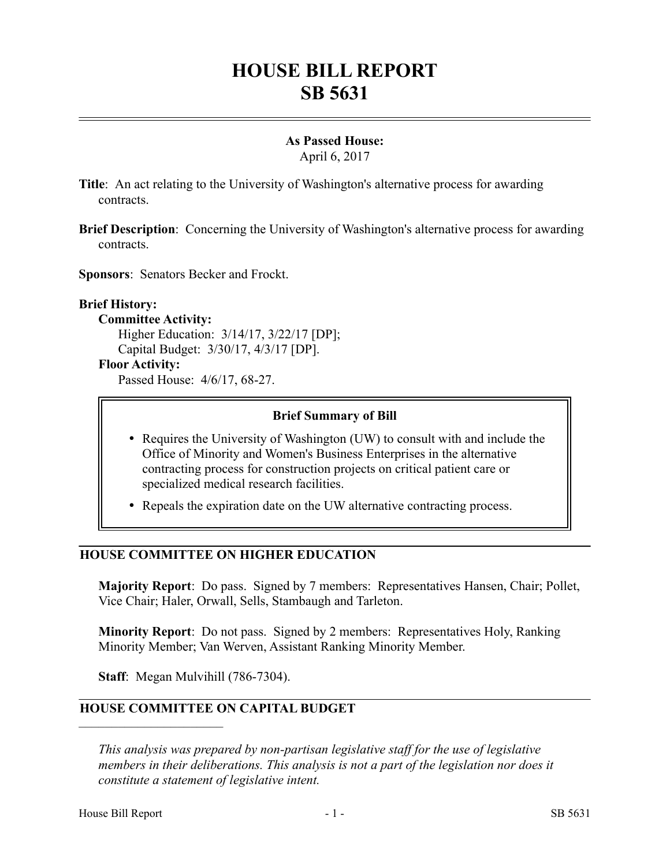# **HOUSE BILL REPORT SB 5631**

# **As Passed House:**

April 6, 2017

- **Title**: An act relating to the University of Washington's alternative process for awarding contracts.
- **Brief Description**: Concerning the University of Washington's alternative process for awarding contracts.

**Sponsors**: Senators Becker and Frockt.

## **Brief History:**

**Committee Activity:** Higher Education: 3/14/17, 3/22/17 [DP]; Capital Budget: 3/30/17, 4/3/17 [DP].

**Floor Activity:** Passed House: 4/6/17, 68-27.

### **Brief Summary of Bill**

- Requires the University of Washington (UW) to consult with and include the Office of Minority and Women's Business Enterprises in the alternative contracting process for construction projects on critical patient care or specialized medical research facilities.
- Repeals the expiration date on the UW alternative contracting process.

## **HOUSE COMMITTEE ON HIGHER EDUCATION**

**Majority Report**: Do pass. Signed by 7 members: Representatives Hansen, Chair; Pollet, Vice Chair; Haler, Orwall, Sells, Stambaugh and Tarleton.

**Minority Report**: Do not pass. Signed by 2 members: Representatives Holy, Ranking Minority Member; Van Werven, Assistant Ranking Minority Member.

**Staff**: Megan Mulvihill (786-7304).

## **HOUSE COMMITTEE ON CAPITAL BUDGET**

*This analysis was prepared by non-partisan legislative staff for the use of legislative members in their deliberations. This analysis is not a part of the legislation nor does it constitute a statement of legislative intent.*

––––––––––––––––––––––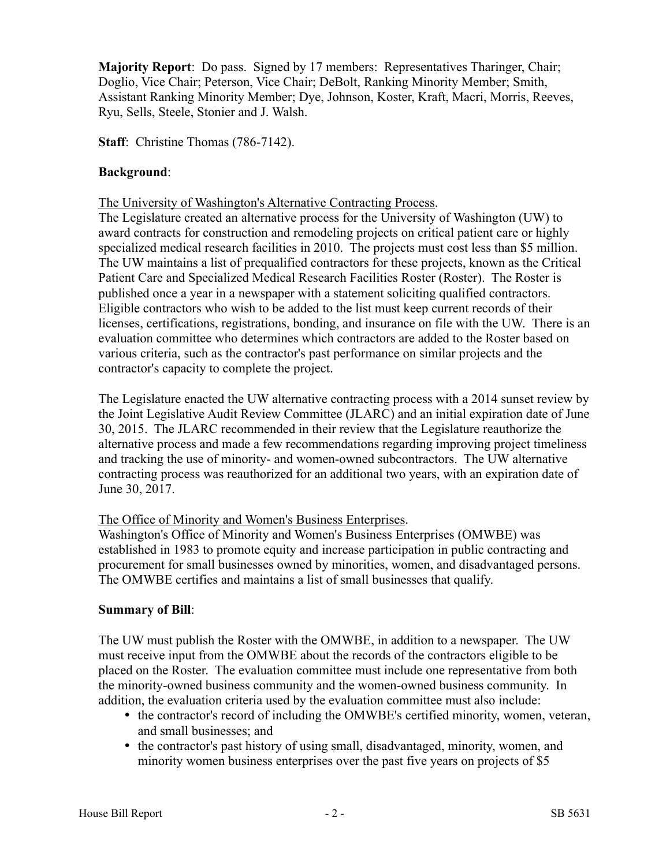**Majority Report:** Do pass. Signed by 17 members: Representatives Tharinger, Chair; Doglio, Vice Chair; Peterson, Vice Chair; DeBolt, Ranking Minority Member; Smith, Assistant Ranking Minority Member; Dye, Johnson, Koster, Kraft, Macri, Morris, Reeves, Ryu, Sells, Steele, Stonier and J. Walsh.

**Staff**: Christine Thomas (786-7142).

## **Background**:

The University of Washington's Alternative Contracting Process.

The Legislature created an alternative process for the University of Washington (UW) to award contracts for construction and remodeling projects on critical patient care or highly specialized medical research facilities in 2010. The projects must cost less than \$5 million. The UW maintains a list of prequalified contractors for these projects, known as the Critical Patient Care and Specialized Medical Research Facilities Roster (Roster). The Roster is published once a year in a newspaper with a statement soliciting qualified contractors. Eligible contractors who wish to be added to the list must keep current records of their licenses, certifications, registrations, bonding, and insurance on file with the UW. There is an evaluation committee who determines which contractors are added to the Roster based on various criteria, such as the contractor's past performance on similar projects and the contractor's capacity to complete the project.

The Legislature enacted the UW alternative contracting process with a 2014 sunset review by the Joint Legislative Audit Review Committee (JLARC) and an initial expiration date of June 30, 2015. The JLARC recommended in their review that the Legislature reauthorize the alternative process and made a few recommendations regarding improving project timeliness and tracking the use of minority- and women-owned subcontractors. The UW alternative contracting process was reauthorized for an additional two years, with an expiration date of June 30, 2017.

## The Office of Minority and Women's Business Enterprises.

Washington's Office of Minority and Women's Business Enterprises (OMWBE) was established in 1983 to promote equity and increase participation in public contracting and procurement for small businesses owned by minorities, women, and disadvantaged persons. The OMWBE certifies and maintains a list of small businesses that qualify.

## **Summary of Bill**:

The UW must publish the Roster with the OMWBE, in addition to a newspaper. The UW must receive input from the OMWBE about the records of the contractors eligible to be placed on the Roster. The evaluation committee must include one representative from both the minority-owned business community and the women-owned business community. In addition, the evaluation criteria used by the evaluation committee must also include:

- the contractor's record of including the OMWBE's certified minority, women, veteran, and small businesses; and
- the contractor's past history of using small, disadvantaged, minority, women, and minority women business enterprises over the past five years on projects of \$5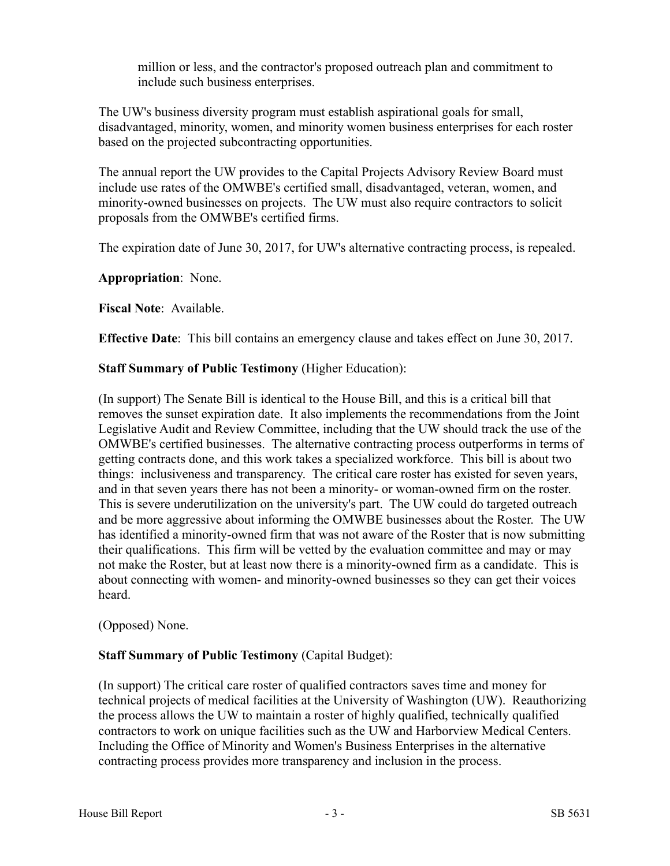million or less, and the contractor's proposed outreach plan and commitment to include such business enterprises.

The UW's business diversity program must establish aspirational goals for small, disadvantaged, minority, women, and minority women business enterprises for each roster based on the projected subcontracting opportunities.

The annual report the UW provides to the Capital Projects Advisory Review Board must include use rates of the OMWBE's certified small, disadvantaged, veteran, women, and minority-owned businesses on projects. The UW must also require contractors to solicit proposals from the OMWBE's certified firms.

The expiration date of June 30, 2017, for UW's alternative contracting process, is repealed.

**Appropriation**: None.

**Fiscal Note**: Available.

**Effective Date**: This bill contains an emergency clause and takes effect on June 30, 2017.

### **Staff Summary of Public Testimony** (Higher Education):

(In support) The Senate Bill is identical to the House Bill, and this is a critical bill that removes the sunset expiration date. It also implements the recommendations from the Joint Legislative Audit and Review Committee, including that the UW should track the use of the OMWBE's certified businesses. The alternative contracting process outperforms in terms of getting contracts done, and this work takes a specialized workforce. This bill is about two things: inclusiveness and transparency. The critical care roster has existed for seven years, and in that seven years there has not been a minority- or woman-owned firm on the roster. This is severe underutilization on the university's part. The UW could do targeted outreach and be more aggressive about informing the OMWBE businesses about the Roster. The UW has identified a minority-owned firm that was not aware of the Roster that is now submitting their qualifications. This firm will be vetted by the evaluation committee and may or may not make the Roster, but at least now there is a minority-owned firm as a candidate. This is about connecting with women- and minority-owned businesses so they can get their voices heard.

## (Opposed) None.

## **Staff Summary of Public Testimony** (Capital Budget):

(In support) The critical care roster of qualified contractors saves time and money for technical projects of medical facilities at the University of Washington (UW). Reauthorizing the process allows the UW to maintain a roster of highly qualified, technically qualified contractors to work on unique facilities such as the UW and Harborview Medical Centers. Including the Office of Minority and Women's Business Enterprises in the alternative contracting process provides more transparency and inclusion in the process.